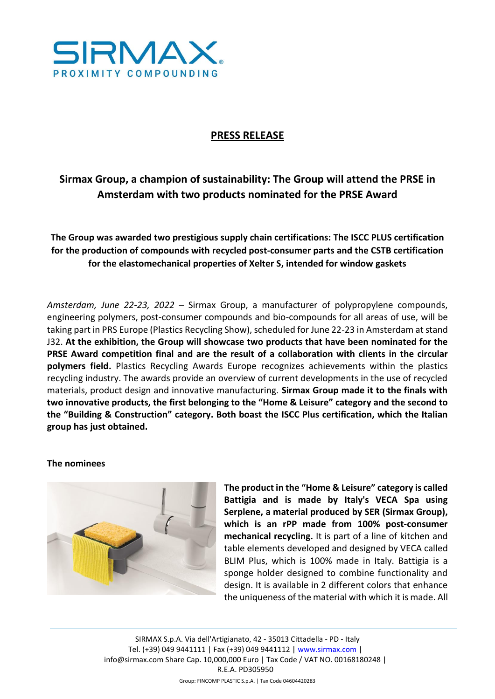

# **PRESS RELEASE**

# **Sirmax Group, a champion of sustainability: The Group will attend the PRSE in Amsterdam with two products nominated for the PRSE Award**

**The Group was awarded two prestigious supply chain certifications: The ISCC PLUS certification for the production of compounds with recycled post-consumer parts and the CSTB certification for the elastomechanical properties of Xelter S, intended for window gaskets**

*Amsterdam, June 22-23, 2022* – Sirmax Group, a manufacturer of polypropylene compounds, engineering polymers, post-consumer compounds and bio-compounds for all areas of use, will be taking part in PRS Europe (Plastics Recycling Show), scheduled for June 22-23 in Amsterdam at stand J32. **At the exhibition, the Group will showcase two products that have been nominated for the PRSE Award competition final and are the result of a collaboration with clients in the circular polymers field.** Plastics Recycling Awards Europe recognizes achievements within the plastics recycling industry. The awards provide an overview of current developments in the use of recycled materials, product design and innovative manufacturing. **Sirmax Group made it to the finals with two innovative products, the first belonging to the "Home & Leisure" category and the second to the "Building & Construction" category. Both boast the ISCC Plus certification, which the Italian group has just obtained.** 

#### **The nominees**



**The product in the "Home & Leisure" category is called Battigia and is made by Italy's VECA Spa using Serplene, a material produced by SER (Sirmax Group), which is an rPP made from 100% post-consumer mechanical recycling.** It is part of a line of kitchen and table elements developed and designed by VECA called BLIM Plus, which is 100% made in Italy. Battigia is a sponge holder designed to combine functionality and design. It is available in 2 different colors that enhance the uniqueness of the material with which it is made. All

SIRMAX S.p.A. Via dell'Artigianato, 42 - 35013 Cittadella - PD - Italy Tel. (+39) 049 9441111 | Fax (+39) 049 9441112 | www.sirmax.com | info@sirmax.com Share Cap. 10,000,000 Euro | Tax Code / VAT NO. 00168180248 | R.E.A. PD305950 Group: FINCOMP PLASTIC S.p.A. | Tax Code 04604420283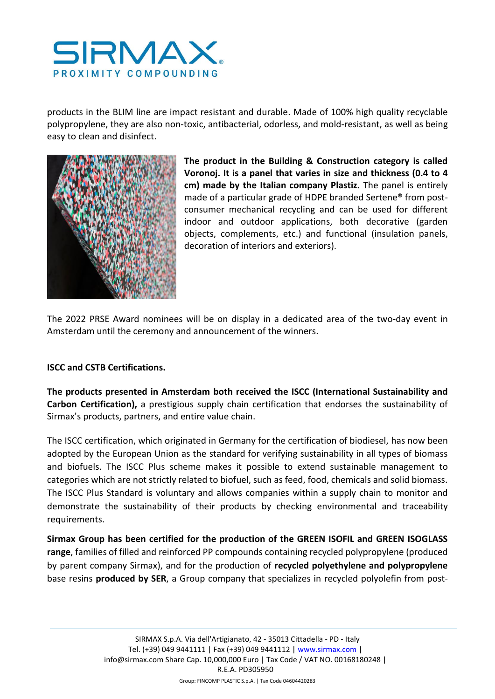

products in the BLIM line are impact resistant and durable. Made of 100% high quality recyclable polypropylene, they are also non-toxic, antibacterial, odorless, and mold-resistant, as well as being easy to clean and disinfect.



**The product in the Building & Construction category is called Voronoj. It is a panel that varies in size and thickness (0.4 to 4 cm) made by the Italian company Plastiz.** The panel is entirely made of a particular grade of HDPE branded Sertene® from postconsumer mechanical recycling and can be used for different indoor and outdoor applications, both decorative (garden objects, complements, etc.) and functional (insulation panels, decoration of interiors and exteriors).

The 2022 PRSE Award nominees will be on display in a dedicated area of the two-day event in Amsterdam until the ceremony and announcement of the winners.

## **ISCC and CSTB Certifications.**

**The products presented in Amsterdam both received the ISCC (International Sustainability and Carbon Certification),** a prestigious supply chain certification that endorses the sustainability of Sirmax's products, partners, and entire value chain.

The ISCC certification, which originated in Germany for the certification of biodiesel, has now been adopted by the European Union as the standard for verifying sustainability in all types of biomass and biofuels. The ISCC Plus scheme makes it possible to extend sustainable management to categories which are not strictly related to biofuel, such as feed, food, chemicals and solid biomass. The ISCC Plus Standard is voluntary and allows companies within a supply chain to monitor and demonstrate the sustainability of their products by checking environmental and traceability requirements.

**Sirmax Group has been certified for the production of the GREEN ISOFIL and GREEN ISOGLASS range**, families of filled and reinforced PP compounds containing recycled polypropylene (produced by parent company Sirmax), and for the production of **recycled polyethylene and polypropylene**  base resins **produced by SER**, a Group company that specializes in recycled polyolefin from post-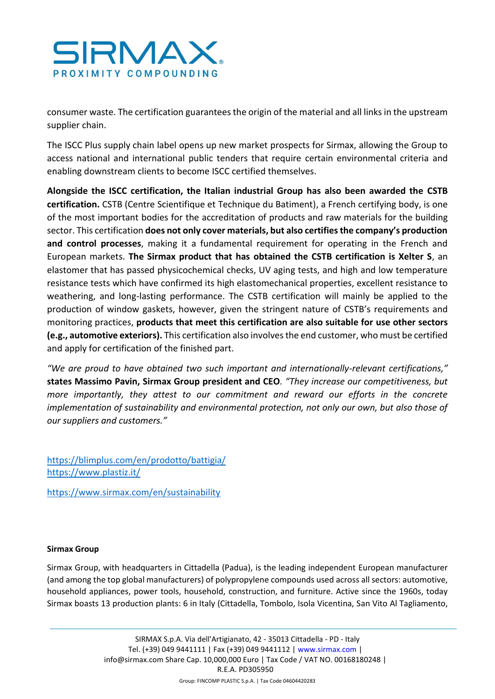

consumer waste. The certification guarantees the origin of the material and all links in the upstream supplier chain.

The ISCC Plus supply chain label opens up new market prospects for Sirmax, allowing the Group to access national and international public tenders that require certain environmental criteria and enabling downstream clients to become ISCC certified themselves.

**Alongside the ISCC certification, the Italian industrial Group has also been awarded the CSTB certification.** CSTB (Centre Scientifique et Technique du Batiment), a French certifying body, is one of the most important bodies for the accreditation of products and raw materials for the building sector. This certification **does not only cover materials, but also certifies the company's production and control processes**, making it a fundamental requirement for operating in the French and European markets. **The Sirmax product that has obtained the CSTB certification is Xelter S**, an elastomer that has passed physicochemical checks, UV aging tests, and high and low temperature resistance tests which have confirmed its high elastomechanical properties, excellent resistance to weathering, and long-lasting performance. The CSTB certification will mainly be applied to the production of window gaskets, however, given the stringent nature of CSTB's requirements and monitoring practices, **products that meet this certification are also suitable for use other sectors (e.g., automotive exteriors).** This certification also involves the end customer, who must be certified and apply for certification of the finished part.

*"We are proud to have obtained two such important and internationally-relevant certifications,"* **states Massimo Pavin, Sirmax Group president and CEO***. "They increase our competitiveness, but more importantly, they attest to our commitment and reward our efforts in the concrete implementation of sustainability and environmental protection, not only our own, but also those of our suppliers and customers."*

<https://blimplus.com/en/prodotto/battigia/> <https://www.plastiz.it/>

<https://www.sirmax.com/en/sustainability>

## **Sirmax Group**

Sirmax Group, with headquarters in Cittadella (Padua), is the leading independent European manufacturer (and among the top global manufacturers) of polypropylene compounds used across all sectors: automotive, household appliances, power tools, household, construction, and furniture. Active since the 1960s, today Sirmax boasts 13 production plants: 6 in Italy (Cittadella, Tombolo, Isola Vicentina, San Vito Al Tagliamento,